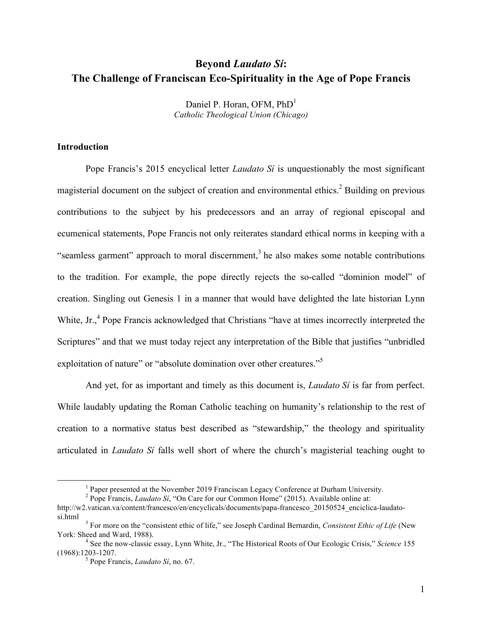# **Beyond** *Laudato Sí***: The Challenge of Franciscan Eco-Spirituality in the Age of Pope Francis**

Daniel P. Horan, OFM, PhD<sup>1</sup> *Catholic Theological Union (Chicago)*

## **Introduction**

Pope Francis's 2015 encyclical letter *Laudato Sí* is unquestionably the most significant magisterial document on the subject of creation and environmental ethics.<sup>2</sup> Building on previous contributions to the subject by his predecessors and an array of regional episcopal and ecumenical statements, Pope Francis not only reiterates standard ethical norms in keeping with a "seamless garment" approach to moral discernment, $3$  he also makes some notable contributions to the tradition. For example, the pope directly rejects the so-called "dominion model" of creation. Singling out Genesis 1 in a manner that would have delighted the late historian Lynn White, Jr.,<sup>4</sup> Pope Francis acknowledged that Christians "have at times incorrectly interpreted the Scriptures" and that we must today reject any interpretation of the Bible that justifies "unbridled exploitation of nature" or "absolute domination over other creatures."<sup>5</sup>

And yet, for as important and timely as this document is, *Laudato Sí* is far from perfect. While laudably updating the Roman Catholic teaching on humanity's relationship to the rest of creation to a normative status best described as "stewardship," the theology and spirituality articulated in *Laudato Sí* falls well short of where the church's magisterial teaching ought to

 $<sup>1</sup>$  Paper presented at the November 2019 Franciscan Legacy Conference at Durham University.</sup>

<sup>2</sup> Pope Francis, *Laudato Sí*, "On Care for our Common Home" (2015). Available online at:

http://w2.vatican.va/content/francesco/en/encyclicals/documents/papa-francesco\_20150524\_enciclica-laudatosi.html <sup>3</sup> For more on the "consistent ethic of life," see Joseph Cardinal Bernardin, *Consistent Ethic of Life* (New

York: Sheed and Ward, 1988).<br><sup>4</sup> See the now-classic essay, Lynn White, Jr., "The Historical Roots of Our Ecologic Crisis," *Science* 155

<sup>(1968):1203-1207.</sup> <sup>5</sup> Pope Francis, *Laudato Sí*, no. 67.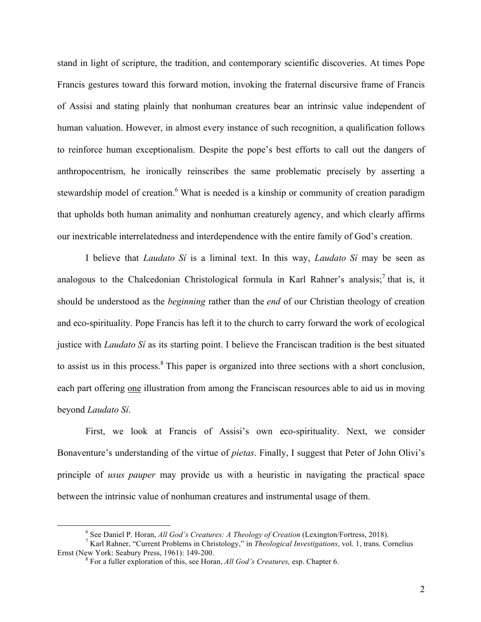stand in light of scripture, the tradition, and contemporary scientific discoveries. At times Pope Francis gestures toward this forward motion, invoking the fraternal discursive frame of Francis of Assisi and stating plainly that nonhuman creatures bear an intrinsic value independent of human valuation. However, in almost every instance of such recognition, a qualification follows to reinforce human exceptionalism. Despite the pope's best efforts to call out the dangers of anthropocentrism, he ironically reinscribes the same problematic precisely by asserting a stewardship model of creation.<sup>6</sup> What is needed is a kinship or community of creation paradigm that upholds both human animality and nonhuman creaturely agency, and which clearly affirms our inextricable interrelatedness and interdependence with the entire family of God's creation.

I believe that *Laudato Sí* is a liminal text. In this way, *Laudato Sí* may be seen as analogous to the Chalcedonian Christological formula in Karl Rahner's analysis;<sup>7</sup> that is, it should be understood as the *beginning* rather than the *end* of our Christian theology of creation and eco-spirituality. Pope Francis has left it to the church to carry forward the work of ecological justice with *Laudato Sí* as its starting point. I believe the Franciscan tradition is the best situated to assist us in this process.<sup>8</sup> This paper is organized into three sections with a short conclusion, each part offering one illustration from among the Franciscan resources able to aid us in moving beyond *Laudato Sí*.

First, we look at Francis of Assisi's own eco-spirituality. Next, we consider Bonaventure's understanding of the virtue of *pietas*. Finally, I suggest that Peter of John Olivi's principle of *usus pauper* may provide us with a heuristic in navigating the practical space between the intrinsic value of nonhuman creatures and instrumental usage of them.

<sup>&</sup>lt;sup>6</sup> See Daniel P. Horan, *All God's Creatures: A Theology of Creation* (Lexington/Fortress, 2018).<br><sup>7</sup> Karl Rahner, "Current Problems in Christology," in *Theological Investigations*, vol. 1, trans. Cornelius<br>Ernst (New Yo

<sup>&</sup>lt;sup>8</sup> For a fuller exploration of this, see Horan, *All God's Creatures*, esp. Chapter 6.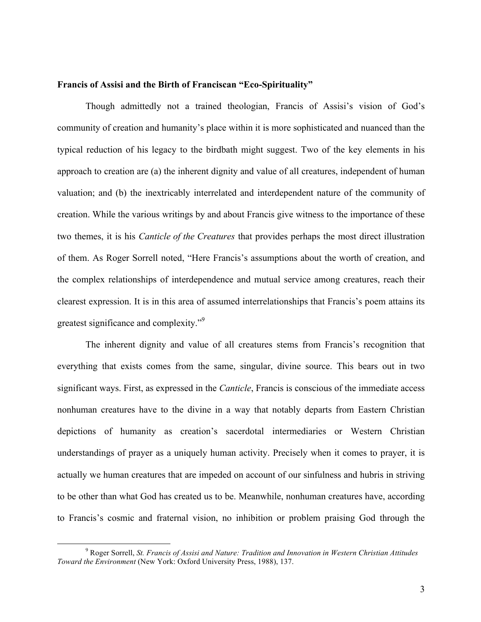#### **Francis of Assisi and the Birth of Franciscan "Eco-Spirituality"**

Though admittedly not a trained theologian, Francis of Assisi's vision of God's community of creation and humanity's place within it is more sophisticated and nuanced than the typical reduction of his legacy to the birdbath might suggest. Two of the key elements in his approach to creation are (a) the inherent dignity and value of all creatures, independent of human valuation; and (b) the inextricably interrelated and interdependent nature of the community of creation. While the various writings by and about Francis give witness to the importance of these two themes, it is his *Canticle of the Creatures* that provides perhaps the most direct illustration of them. As Roger Sorrell noted, "Here Francis's assumptions about the worth of creation, and the complex relationships of interdependence and mutual service among creatures, reach their clearest expression. It is in this area of assumed interrelationships that Francis's poem attains its greatest significance and complexity."9

The inherent dignity and value of all creatures stems from Francis's recognition that everything that exists comes from the same, singular, divine source. This bears out in two significant ways. First, as expressed in the *Canticle*, Francis is conscious of the immediate access nonhuman creatures have to the divine in a way that notably departs from Eastern Christian depictions of humanity as creation's sacerdotal intermediaries or Western Christian understandings of prayer as a uniquely human activity. Precisely when it comes to prayer, it is actually we human creatures that are impeded on account of our sinfulness and hubris in striving to be other than what God has created us to be. Meanwhile, nonhuman creatures have, according to Francis's cosmic and fraternal vision, no inhibition or problem praising God through the

 <sup>9</sup> Roger Sorrell, *St. Francis of Assisi and Nature: Tradition and Innovation in Western Christian Attitudes Toward the Environment* (New York: Oxford University Press, 1988), 137.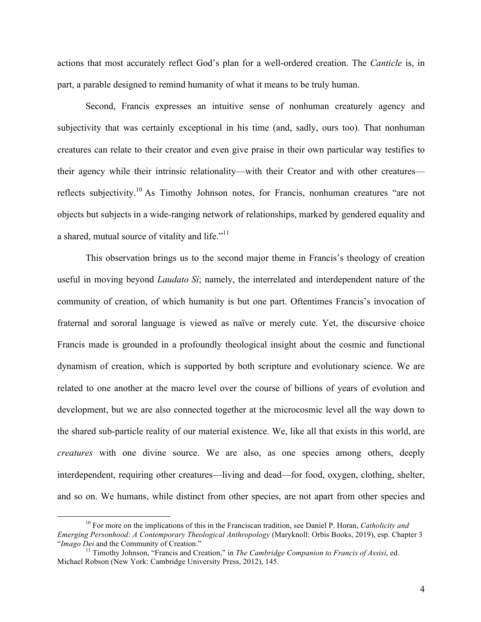actions that most accurately reflect God's plan for a well-ordered creation. The *Canticle* is, in part, a parable designed to remind humanity of what it means to be truly human.

Second, Francis expresses an intuitive sense of nonhuman creaturely agency and subjectivity that was certainly exceptional in his time (and, sadly, ours too). That nonhuman creatures can relate to their creator and even give praise in their own particular way testifies to their agency while their intrinsic relationality—with their Creator and with other creatures reflects subjectivity.10 As Timothy Johnson notes, for Francis, nonhuman creatures "are not objects but subjects in a wide-ranging network of relationships, marked by gendered equality and a shared, mutual source of vitality and life."<sup>11</sup>

This observation brings us to the second major theme in Francis's theology of creation useful in moving beyond *Laudato Sí*; namely, the interrelated and interdependent nature of the community of creation, of which humanity is but one part. Oftentimes Francis's invocation of fraternal and sororal language is viewed as naïve or merely cute. Yet, the discursive choice Francis made is grounded in a profoundly theological insight about the cosmic and functional dynamism of creation, which is supported by both scripture and evolutionary science. We are related to one another at the macro level over the course of billions of years of evolution and development, but we are also connected together at the microcosmic level all the way down to the shared sub-particle reality of our material existence. We, like all that exists in this world, are *creatures* with one divine source. We are also, as one species among others, deeply interdependent, requiring other creatures—living and dead—for food, oxygen, clothing, shelter, and so on. We humans, while distinct from other species, are not apart from other species and

 <sup>10</sup> For more on the implications of this in the Franciscan tradition, see Daniel P. Horan, *Catholicity and Emerging Personhood: A Contemporary Theological Anthropology (Maryknoll: Orbis Books, 2019), esp. Chapter 3* "*Imago Dei and the Community of Creation.*"

<sup>&</sup>quot;*Imago Dei* and the Community of Creation." <sup>11</sup> Timothy Johnson, "Francis and Creation," in *The Cambridge Companion to Francis of Assisi*, ed. Michael Robson (New York: Cambridge University Press, 2012), 145.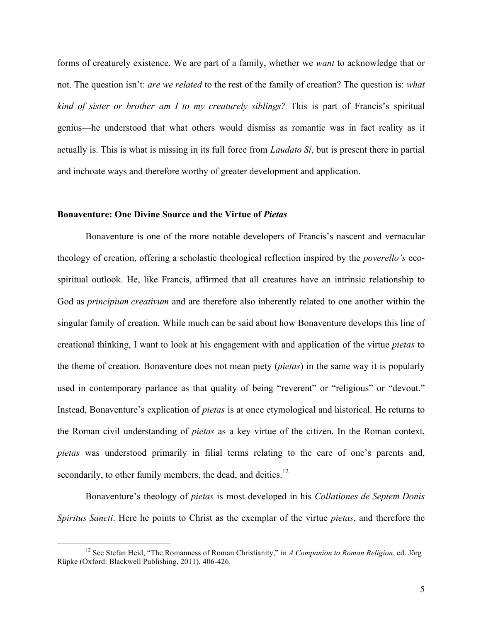forms of creaturely existence. We are part of a family, whether we *want* to acknowledge that or not. The question isn't: *are we related* to the rest of the family of creation? The question is: *what kind of sister or brother am I to my creaturely siblings?* This is part of Francis's spiritual genius—he understood that what others would dismiss as romantic was in fact reality as it actually is. This is what is missing in its full force from *Laudato Sí*, but is present there in partial and inchoate ways and therefore worthy of greater development and application.

#### **Bonaventure: One Divine Source and the Virtue of** *Pietas*

Bonaventure is one of the more notable developers of Francis's nascent and vernacular theology of creation, offering a scholastic theological reflection inspired by the *poverello's* ecospiritual outlook. He, like Francis, affirmed that all creatures have an intrinsic relationship to God as *principium creativum* and are therefore also inherently related to one another within the singular family of creation. While much can be said about how Bonaventure develops this line of creational thinking, I want to look at his engagement with and application of the virtue *pietas* to the theme of creation. Bonaventure does not mean piety (*pietas*) in the same way it is popularly used in contemporary parlance as that quality of being "reverent" or "religious" or "devout." Instead, Bonaventure's explication of *pietas* is at once etymological and historical. He returns to the Roman civil understanding of *pietas* as a key virtue of the citizen. In the Roman context, *pietas* was understood primarily in filial terms relating to the care of one's parents and, secondarily, to other family members, the dead, and deities. $^{12}$ 

Bonaventure's theology of *pietas* is most developed in his *Collationes de Septem Donis Spiritus Sancti*. Here he points to Christ as the exemplar of the virtue *pietas*, and therefore the

 <sup>12</sup> See Stefan Heid, "The Romanness of Roman Christianity," in *A Companion to Roman Religion*, ed. Jörg Rüpke (Oxford: Blackwell Publishing, 2011), 406-426.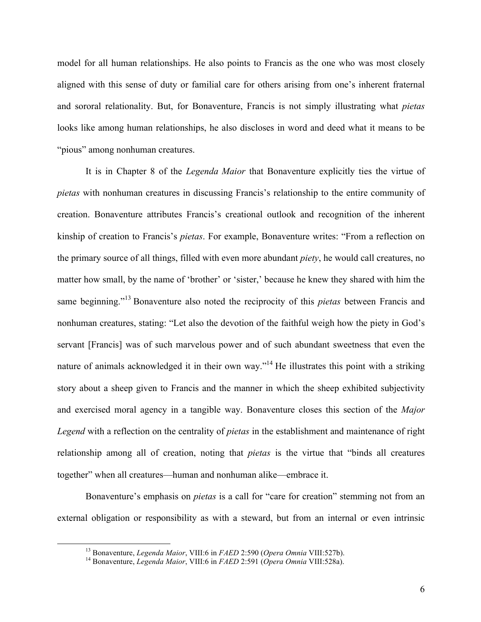model for all human relationships. He also points to Francis as the one who was most closely aligned with this sense of duty or familial care for others arising from one's inherent fraternal and sororal relationality. But, for Bonaventure, Francis is not simply illustrating what *pietas* looks like among human relationships, he also discloses in word and deed what it means to be "pious" among nonhuman creatures.

It is in Chapter 8 of the *Legenda Maior* that Bonaventure explicitly ties the virtue of *pietas* with nonhuman creatures in discussing Francis's relationship to the entire community of creation. Bonaventure attributes Francis's creational outlook and recognition of the inherent kinship of creation to Francis's *pietas*. For example, Bonaventure writes: "From a reflection on the primary source of all things, filled with even more abundant *piety*, he would call creatures, no matter how small, by the name of 'brother' or 'sister,' because he knew they shared with him the same beginning."<sup>13</sup> Bonaventure also noted the reciprocity of this *pietas* between Francis and nonhuman creatures, stating: "Let also the devotion of the faithful weigh how the piety in God's servant [Francis] was of such marvelous power and of such abundant sweetness that even the nature of animals acknowledged it in their own way."<sup>14</sup> He illustrates this point with a striking story about a sheep given to Francis and the manner in which the sheep exhibited subjectivity and exercised moral agency in a tangible way. Bonaventure closes this section of the *Major Legend* with a reflection on the centrality of *pietas* in the establishment and maintenance of right relationship among all of creation, noting that *pietas* is the virtue that "binds all creatures together" when all creatures—human and nonhuman alike—embrace it.

Bonaventure's emphasis on *pietas* is a call for "care for creation" stemming not from an external obligation or responsibility as with a steward, but from an internal or even intrinsic

<sup>&</sup>lt;sup>13</sup> Bonaventure, *Legenda Maior*, VIII:6 in *FAED* 2:590 (*Opera Omnia* VIII:527b).<br><sup>14</sup> Bonaventure, *Legenda Maior*, VIII:6 in *FAED* 2:591 (*Opera Omnia* VIII:528a).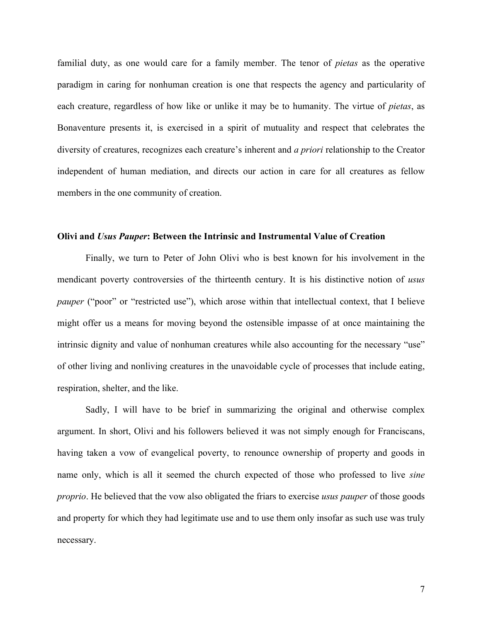familial duty, as one would care for a family member. The tenor of *pietas* as the operative paradigm in caring for nonhuman creation is one that respects the agency and particularity of each creature, regardless of how like or unlike it may be to humanity. The virtue of *pietas*, as Bonaventure presents it, is exercised in a spirit of mutuality and respect that celebrates the diversity of creatures, recognizes each creature's inherent and *a priori* relationship to the Creator independent of human mediation, and directs our action in care for all creatures as fellow members in the one community of creation.

#### **Olivi and** *Usus Pauper***: Between the Intrinsic and Instrumental Value of Creation**

Finally, we turn to Peter of John Olivi who is best known for his involvement in the mendicant poverty controversies of the thirteenth century. It is his distinctive notion of *usus pauper* ("poor" or "restricted use"), which arose within that intellectual context, that I believe might offer us a means for moving beyond the ostensible impasse of at once maintaining the intrinsic dignity and value of nonhuman creatures while also accounting for the necessary "use" of other living and nonliving creatures in the unavoidable cycle of processes that include eating, respiration, shelter, and the like.

Sadly, I will have to be brief in summarizing the original and otherwise complex argument. In short, Olivi and his followers believed it was not simply enough for Franciscans, having taken a vow of evangelical poverty, to renounce ownership of property and goods in name only, which is all it seemed the church expected of those who professed to live *sine proprio*. He believed that the vow also obligated the friars to exercise *usus pauper* of those goods and property for which they had legitimate use and to use them only insofar as such use was truly necessary.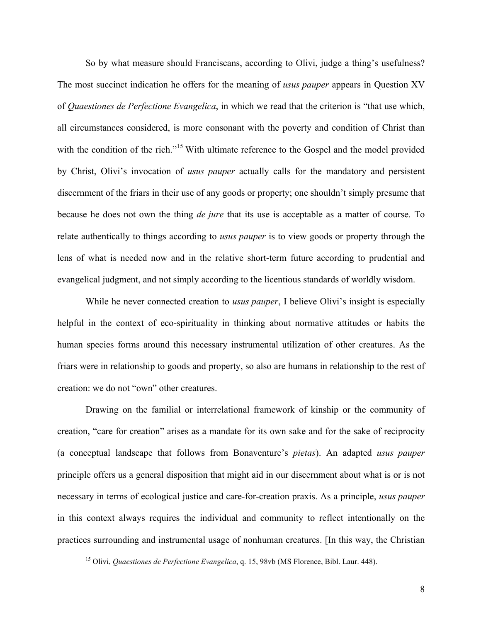So by what measure should Franciscans, according to Olivi, judge a thing's usefulness? The most succinct indication he offers for the meaning of *usus pauper* appears in Question XV of *Quaestiones de Perfectione Evangelica*, in which we read that the criterion is "that use which, all circumstances considered, is more consonant with the poverty and condition of Christ than with the condition of the rich."<sup>15</sup> With ultimate reference to the Gospel and the model provided by Christ, Olivi's invocation of *usus pauper* actually calls for the mandatory and persistent discernment of the friars in their use of any goods or property; one shouldn't simply presume that because he does not own the thing *de jure* that its use is acceptable as a matter of course. To relate authentically to things according to *usus pauper* is to view goods or property through the lens of what is needed now and in the relative short-term future according to prudential and evangelical judgment, and not simply according to the licentious standards of worldly wisdom.

While he never connected creation to *usus pauper*, I believe Olivi's insight is especially helpful in the context of eco-spirituality in thinking about normative attitudes or habits the human species forms around this necessary instrumental utilization of other creatures. As the friars were in relationship to goods and property, so also are humans in relationship to the rest of creation: we do not "own" other creatures.

Drawing on the familial or interrelational framework of kinship or the community of creation, "care for creation" arises as a mandate for its own sake and for the sake of reciprocity (a conceptual landscape that follows from Bonaventure's *pietas*). An adapted *usus pauper* principle offers us a general disposition that might aid in our discernment about what is or is not necessary in terms of ecological justice and care-for-creation praxis. As a principle, *usus pauper* in this context always requires the individual and community to reflect intentionally on the practices surrounding and instrumental usage of nonhuman creatures. [In this way, the Christian

 <sup>15</sup> Olivi, *Quaestiones de Perfectione Evangelica*, q. 15, 98vb (MS Florence, Bibl. Laur. 448).